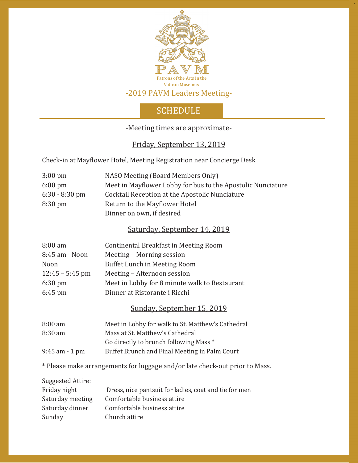

`

# **SCHEDULE**

## -Meeting times are approximate-

# Friday, September 13, 2019

Check-in at Mayflower Hotel, Meeting Registration near Concierge Desk

| $3:00 \text{ pm}$ | NASO Meeting (Board Members Only)                           |
|-------------------|-------------------------------------------------------------|
| $6:00 \text{ pm}$ | Meet in Mayflower Lobby for bus to the Apostolic Nunciature |
| $6:30 - 8:30$ pm  | Cocktail Reception at the Apostolic Nunciature              |
| $8:30 \text{ pm}$ | Return to the Mayflower Hotel                               |
|                   | Dinner on own, if desired                                   |

# Saturday, September 14, 2019

| $8:00$ am         | Continental Breakfast in Meeting Room         |
|-------------------|-----------------------------------------------|
| 8:45 am - Noon    | Meeting – Morning session                     |
| Noon              | Buffet Lunch in Meeting Room                  |
| $12:45 - 5:45$ pm | Meeting – Afternoon session                   |
| $6:30 \text{ pm}$ | Meet in Lobby for 8 minute walk to Restaurant |
| $6:45$ pm         | Dinner at Ristorante i Ricchi                 |

## Sunday, September 15, 2019

| $8:00 \text{ am}$ | Meet in Lobby for walk to St. Matthew's Cathedral |
|-------------------|---------------------------------------------------|
| $8:30 \text{ am}$ | Mass at St. Matthew's Cathedral                   |
|                   | Go directly to brunch following Mass *            |
| $9:45$ am $-1$ pm | Buffet Brunch and Final Meeting in Palm Court     |

\* Please make arrangements for luggage and/or late check-out prior to Mass.

Suggested Attire: Friday night Dress, nice pantsuit for ladies, coat and tie for men Saturday meeting Comfortable business attire Saturday dinner Comfortable business attire Sunday Church attire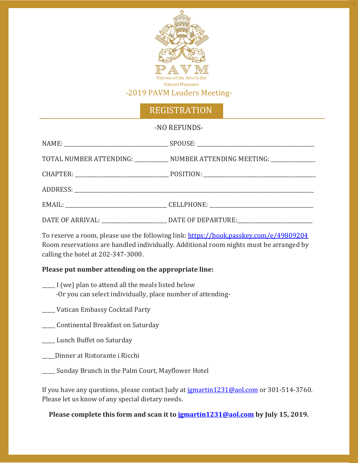

`

# REGISTRATION

## -NO REFUNDS-

| TOTAL NUMBER ATTENDING: _________ NUMBER ATTENDING MEETING: _____________        |
|----------------------------------------------------------------------------------|
|                                                                                  |
|                                                                                  |
|                                                                                  |
| DATE OF ARRIVAL: _______________________ DATE OF DEPARTURE: ____________________ |

To reserve a room, please use the following link: https://book.passkey.com/e/49809204 Room reservations are handled individually. Additional room nights must be arranged by calling the hotel at 202-347-3000.

#### Please put number attending on the appropriate line:

- \_\_\_\_\_ I (we) plan to attend all the meals listed below
	- -Or you can select individually, place number of attending-
- \_\_\_\_\_ Vatican Embassy Cocktail Party
- \_\_\_\_\_ Continental Breakfast on Saturday
- **Lunch Buffet on Saturday**
- \_\_\_\_\_Dinner at Ristorante i Ricchi
- **\_\_\_\_\_** Sunday Brunch in the Palm Court, Mayflower Hotel

If you have any questions, please contact Judy at  $\frac{1231}{\text{e}}$  aol.com or 301-514-3760. Please let us know of any special dietary needs.

Please complete this form and scan it to **jgmartin1231@aol.com** by July 15, 2019.